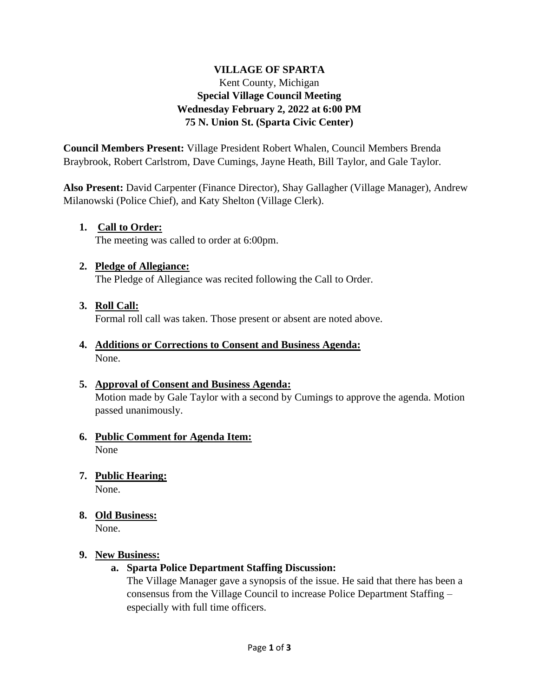# **VILLAGE OF SPARTA** Kent County, Michigan **Special Village Council Meeting Wednesday February 2, 2022 at 6:00 PM 75 N. Union St. (Sparta Civic Center)**

**Council Members Present:** Village President Robert Whalen, Council Members Brenda Braybrook, Robert Carlstrom, Dave Cumings, Jayne Heath, Bill Taylor, and Gale Taylor.

**Also Present:** David Carpenter (Finance Director), Shay Gallagher (Village Manager), Andrew Milanowski (Police Chief), and Katy Shelton (Village Clerk).

# **1. Call to Order:**

The meeting was called to order at 6:00pm.

#### **2. Pledge of Allegiance:**

The Pledge of Allegiance was recited following the Call to Order.

#### **3. Roll Call:**

Formal roll call was taken. Those present or absent are noted above.

#### **4. Additions or Corrections to Consent and Business Agenda:** None.

# **5. Approval of Consent and Business Agenda:**

Motion made by Gale Taylor with a second by Cumings to approve the agenda. Motion passed unanimously.

#### **6. Public Comment for Agenda Item:** None

# **7. Public Hearing:**

None.

#### **8. Old Business:**

None.

#### **9. New Business:**

#### **a. Sparta Police Department Staffing Discussion:**

The Village Manager gave a synopsis of the issue. He said that there has been a consensus from the Village Council to increase Police Department Staffing – especially with full time officers.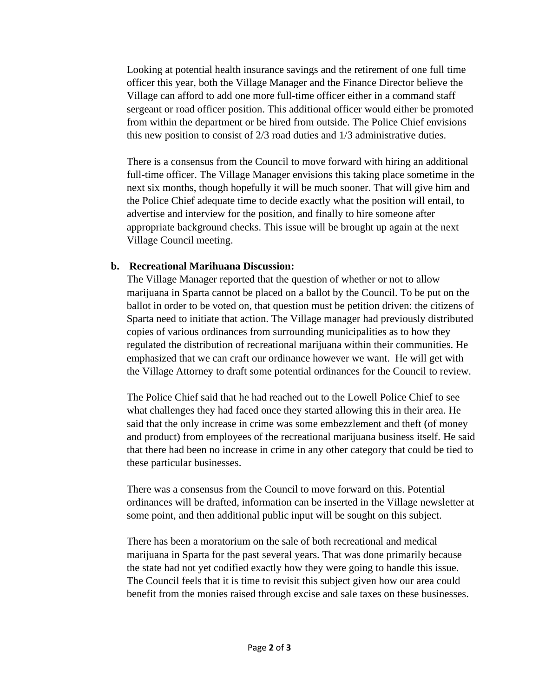Looking at potential health insurance savings and the retirement of one full time officer this year, both the Village Manager and the Finance Director believe the Village can afford to add one more full-time officer either in a command staff sergeant or road officer position. This additional officer would either be promoted from within the department or be hired from outside. The Police Chief envisions this new position to consist of 2/3 road duties and 1/3 administrative duties.

There is a consensus from the Council to move forward with hiring an additional full-time officer. The Village Manager envisions this taking place sometime in the next six months, though hopefully it will be much sooner. That will give him and the Police Chief adequate time to decide exactly what the position will entail, to advertise and interview for the position, and finally to hire someone after appropriate background checks. This issue will be brought up again at the next Village Council meeting.

#### **b. Recreational Marihuana Discussion:**

The Village Manager reported that the question of whether or not to allow marijuana in Sparta cannot be placed on a ballot by the Council. To be put on the ballot in order to be voted on, that question must be petition driven: the citizens of Sparta need to initiate that action. The Village manager had previously distributed copies of various ordinances from surrounding municipalities as to how they regulated the distribution of recreational marijuana within their communities. He emphasized that we can craft our ordinance however we want. He will get with the Village Attorney to draft some potential ordinances for the Council to review.

The Police Chief said that he had reached out to the Lowell Police Chief to see what challenges they had faced once they started allowing this in their area. He said that the only increase in crime was some embezzlement and theft (of money and product) from employees of the recreational marijuana business itself. He said that there had been no increase in crime in any other category that could be tied to these particular businesses.

There was a consensus from the Council to move forward on this. Potential ordinances will be drafted, information can be inserted in the Village newsletter at some point, and then additional public input will be sought on this subject.

There has been a moratorium on the sale of both recreational and medical marijuana in Sparta for the past several years. That was done primarily because the state had not yet codified exactly how they were going to handle this issue. The Council feels that it is time to revisit this subject given how our area could benefit from the monies raised through excise and sale taxes on these businesses.